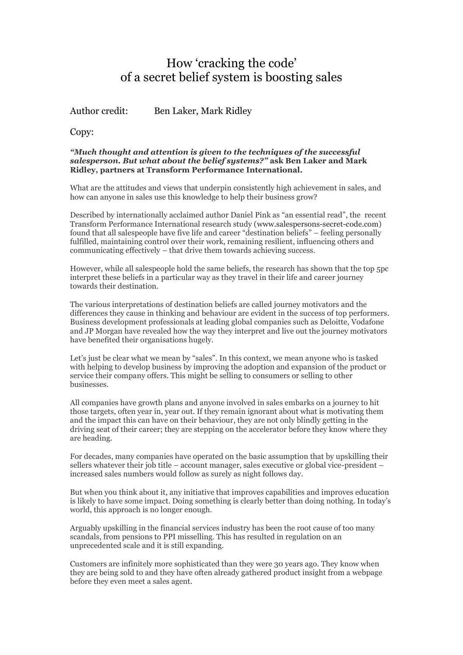## How 'cracking the code' of a secret belief system is boosting sales

## Author credit: Ben Laker, Mark Ridley

Copy:

## *"Much thought and attention is given to the techniques of the successful salesperson. But what about the belief systems?"* **ask Ben Laker and Mark Ridley, partners at Transform Performance International.**

What are the attitudes and views that underpin consistently high achievement in sales, and how can anyone in sales use this knowledge to help their business grow?

Described by internationally acclaimed author Daniel Pink as "an essential read", the recent Transform Performance International research study [\(www.salespersons-secret-code.com\)](http://www.salespersons-secret-code.com/) found that all salespeople have five life and career "destination beliefs" – feeling personally fulfilled, maintaining control over their work, remaining resilient, influencing others and communicating effectively – that drive them towards achieving success.

However, while all salespeople hold the same beliefs, the research has shown that the top 5pc interpret these beliefs in a particular way as they travel in their life and career journey towards their destination.

The various interpretations of destination beliefs are called journey motivators and the differences they cause in thinking and behaviour are evident in the success of top performers. Business development professionals at leading global companies such as Deloitte, Vodafone and JP Morgan have revealed how the way they interpret and live out the journey motivators have benefited their organisations hugely.

Let's just be clear what we mean by "sales". In this context, we mean anyone who is tasked with helping to develop business by improving the adoption and expansion of the product or service their company offers. This might be selling to consumers or selling to other businesses.

All companies have growth plans and anyone involved in sales embarks on a journey to hit those targets, often year in, year out. If they remain ignorant about what is motivating them and the impact this can have on their behaviour, they are not only blindly getting in the driving seat of their career; they are stepping on the accelerator before they know where they are heading.

For decades, many companies have operated on the basic assumption that by upskilling their sellers whatever their job title – account manager, sales executive or global vice-president – increased sales numbers would follow as surely as night follows day.

But when you think about it, any initiative that improves capabilities and improves education is likely to have some impact. Doing something is clearly better than doing nothing. In today's world, this approach is no longer enough.

Arguably upskilling in the financial services industry has been the root cause of too many scandals, from pensions to PPI misselling. This has resulted in regulation on an unprecedented scale and it is still expanding.

Customers are infinitely more sophisticated than they were 30 years ago. They know when they are being sold to and they have often already gathered product insight from a webpage before they even meet a sales agent.